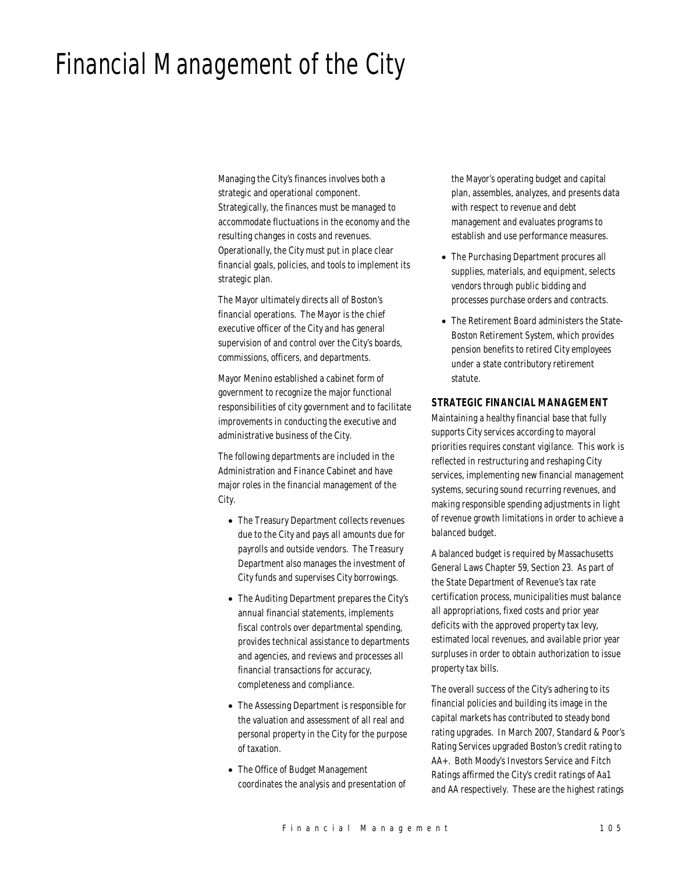# Financial Management of the City

Managing the City's finances involves both a strategic and operational component. Strategically, the finances must be managed to accommodate fluctuations in the economy and the resulting changes in costs and revenues. Operationally, the City must put in place clear financial goals, policies, and tools to implement its strategic plan.

The Mayor ultimately directs all of Boston's financial operations. The Mayor is the chief executive officer of the City and has general supervision of and control over the City's boards, commissions, officers, and departments.

Mayor Menino established a cabinet form of government to recognize the major functional responsibilities of city government and to facilitate improvements in conducting the executive and administrative business of the City.

The following departments are included in the Administration and Finance Cabinet and have major roles in the financial management of the City.

- The Treasury Department collects revenues due to the City and pays all amounts due for payrolls and outside vendors. The Treasury Department also manages the investment of City funds and supervises City borrowings.
- The Auditing Department prepares the City's annual financial statements, implements fiscal controls over departmental spending, provides technical assistance to departments and agencies, and reviews and processes all financial transactions for accuracy, completeness and compliance.
- The Assessing Department is responsible for the valuation and assessment of all real and personal property in the City for the purpose of taxation.
- The Office of Budget Management coordinates the analysis and presentation of

the Mayor's operating budget and capital plan, assembles, analyzes, and presents data with respect to revenue and debt management and evaluates programs to establish and use performance measures.

- The Purchasing Department procures all supplies, materials, and equipment, selects vendors through public bidding and processes purchase orders and contracts.
- The Retirement Board administers the State-Boston Retirement System, which provides pension benefits to retired City employees under a state contributory retirement statute.

#### *STRATEGIC FINANCIAL MANAGEMENT*

Maintaining a healthy financial base that fully supports City services according to mayoral priorities requires constant vigilance. This work is reflected in restructuring and reshaping City services, implementing new financial management systems, securing sound recurring revenues, and making responsible spending adjustments in light of revenue growth limitations in order to achieve a balanced budget.

A balanced budget is required by Massachusetts General Laws Chapter 59, Section 23. As part of the State Department of Revenue's tax rate certification process, municipalities must balance all appropriations, fixed costs and prior year deficits with the approved property tax levy, estimated local revenues, and available prior year surpluses in order to obtain authorization to issue property tax bills.

The overall success of the City's adhering to its financial policies and building its image in the capital markets has contributed to steady bond rating upgrades. In March 2007, Standard & Poor's Rating Services upgraded Boston's credit rating to AA+. Both Moody's Investors Service and Fitch Ratings affirmed the City's credit ratings of Aa1 and AA respectively. These are the highest ratings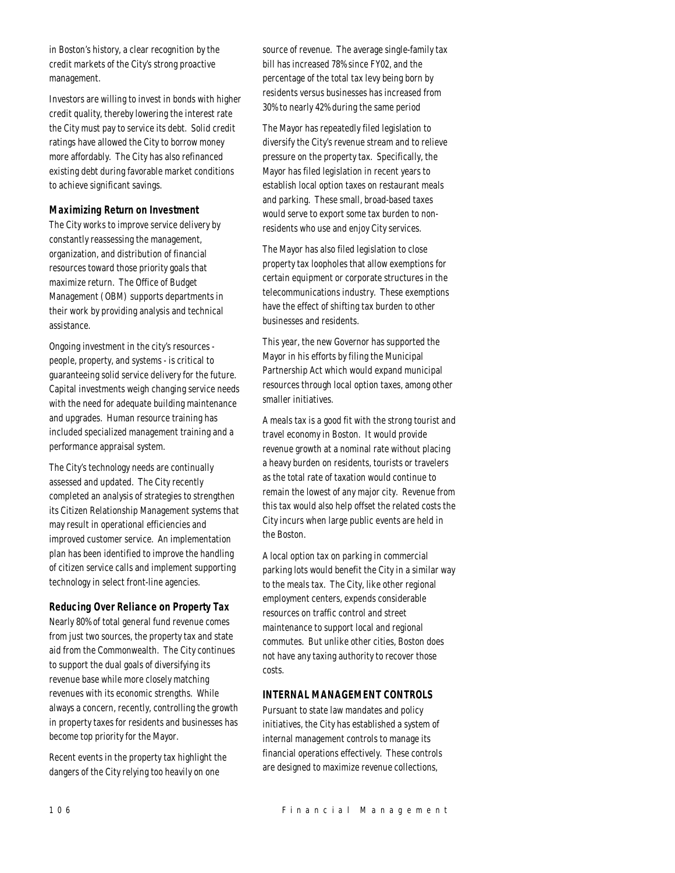in Boston's history, a clear recognition by the credit markets of the City's strong proactive management.

Investors are willing to invest in bonds with higher credit quality, thereby lowering the interest rate the City must pay to service its debt. Solid credit ratings have allowed the City to borrow money more affordably. The City has also refinanced existing debt during favorable market conditions to achieve significant savings.

#### *Maximizing Return on Investment*

The City works to improve service delivery by constantly reassessing the management, organization, and distribution of financial resources toward those priority goals that maximize return. The Office of Budget Management (OBM) supports departments in their work by providing analysis and technical assistance.

Ongoing investment in the city's resources people, property, and systems - is critical to guaranteeing solid service delivery for the future. Capital investments weigh changing service needs with the need for adequate building maintenance and upgrades. Human resource training has included specialized management training and a performance appraisal system.

The City's technology needs are continually assessed and updated. The City recently completed an analysis of strategies to strengthen its Citizen Relationship Management systems that may result in operational efficiencies and improved customer service. An implementation plan has been identified to improve the handling of citizen service calls and implement supporting technology in select front-line agencies.

# *Reducing Over Reliance on Property Tax*

Nearly 80% of total general fund revenue comes from just two sources, the property tax and state aid from the Commonwealth. The City continues to support the dual goals of diversifying its revenue base while more closely matching revenues with its economic strengths. While always a concern, recently, controlling the growth in property taxes for residents and businesses has become top priority for the Mayor.

Recent events in the property tax highlight the dangers of the City relying too heavily on one

source of revenue. The average single-family tax bill has increased 78% since FY02, and the percentage of the total tax levy being born by residents versus businesses has increased from 30% to nearly 42% during the same period

The Mayor has repeatedly filed legislation to diversify the City's revenue stream and to relieve pressure on the property tax. Specifically, the Mayor has filed legislation in recent years to establish local option taxes on restaurant meals and parking. These small, broad-based taxes would serve to export some tax burden to nonresidents who use and enjoy City services.

The Mayor has also filed legislation to close property tax loopholes that allow exemptions for certain equipment or corporate structures in the telecommunications industry. These exemptions have the effect of shifting tax burden to other businesses and residents.

This year, the new Governor has supported the Mayor in his efforts by filing the Municipal Partnership Act which would expand municipal resources through local option taxes, among other smaller initiatives.

A meals tax is a good fit with the strong tourist and travel economy in Boston. It would provide revenue growth at a nominal rate without placing a heavy burden on residents, tourists or travelers as the total rate of taxation would continue to remain the lowest of any major city. Revenue from this tax would also help offset the related costs the City incurs when large public events are held in the Boston.

A local option tax on parking in commercial parking lots would benefit the City in a similar way to the meals tax. The City, like other regional employment centers, expends considerable resources on traffic control and street maintenance to support local and regional commutes. But unlike other cities, Boston does not have any taxing authority to recover those costs.

# *INTERNAL MANAGEMENT CONTROLS*

Pursuant to state law mandates and policy initiatives, the City has established a system of internal management controls to manage its financial operations effectively. These controls are designed to maximize revenue collections,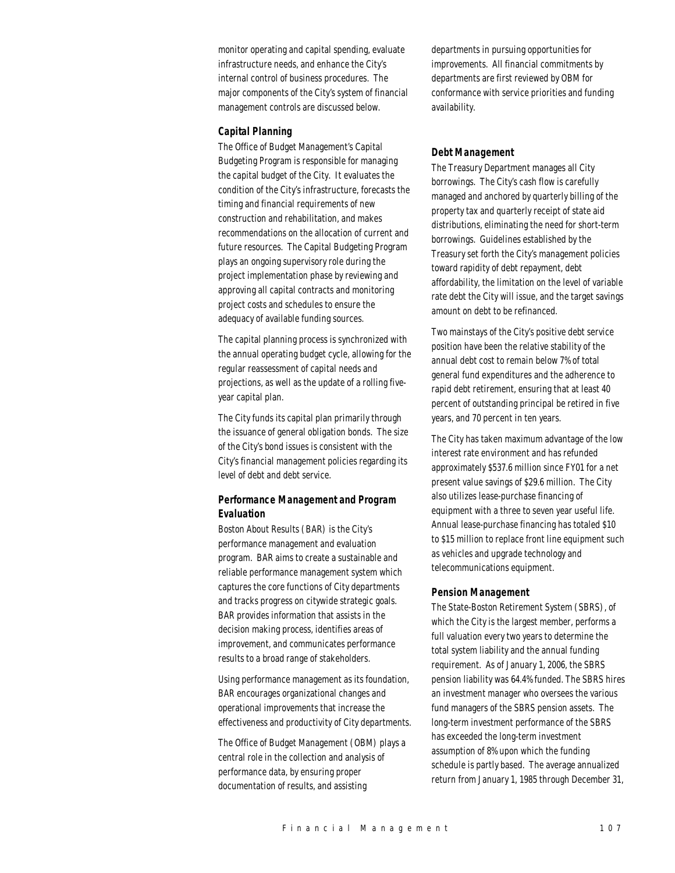monitor operating and capital spending, evaluate infrastructure needs, and enhance the City's internal control of business procedures. The major components of the City's system of financial management controls are discussed below.

#### *Capital Planning*

The Office of Budget Management's Capital Budgeting Program is responsible for managing the capital budget of the City. It evaluates the condition of the City's infrastructure, forecasts the timing and financial requirements of new construction and rehabilitation, and makes recommendations on the allocation of current and future resources. The Capital Budgeting Program plays an ongoing supervisory role during the project implementation phase by reviewing and approving all capital contracts and monitoring project costs and schedules to ensure the adequacy of available funding sources.

The capital planning process is synchronized with the annual operating budget cycle, allowing for the regular reassessment of capital needs and projections, as well as the update of a rolling fiveyear capital plan.

The City funds its capital plan primarily through the issuance of general obligation bonds. The size of the City's bond issues is consistent with the City's financial management policies regarding its level of debt and debt service.

# *Performance Management and Program Evaluation*

Boston About Results (BAR) is the City's performance management and evaluation program. BAR aims to create a sustainable and reliable performance management system which captures the core functions of City departments and tracks progress on citywide strategic goals. BAR provides information that assists in the decision making process, identifies areas of improvement, and communicates performance results to a broad range of stakeholders.

Using performance management as its foundation, BAR encourages organizational changes and operational improvements that increase the effectiveness and productivity of City departments.

The Office of Budget Management (OBM) plays a central role in the collection and analysis of performance data, by ensuring proper documentation of results, and assisting

departments in pursuing opportunities for improvements. All financial commitments by departments are first reviewed by OBM for conformance with service priorities and funding availability.

#### *Debt Management*

The Treasury Department manages all City borrowings. The City's cash flow is carefully managed and anchored by quarterly billing of the property tax and quarterly receipt of state aid distributions, eliminating the need for short-term borrowings. Guidelines established by the Treasury set forth the City's management policies toward rapidity of debt repayment, debt affordability, the limitation on the level of variable rate debt the City will issue, and the target savings amount on debt to be refinanced.

Two mainstays of the City's positive debt service position have been the relative stability of the annual debt cost to remain below 7% of total general fund expenditures and the adherence to rapid debt retirement, ensuring that at least 40 percent of outstanding principal be retired in five years, and 70 percent in ten years.

The City has taken maximum advantage of the low interest rate environment and has refunded approximately \$537.6 million since FY01 for a net present value savings of \$29.6 million. The City also utilizes lease-purchase financing of equipment with a three to seven year useful life. Annual lease-purchase financing has totaled \$10 to \$15 million to replace front line equipment such as vehicles and upgrade technology and telecommunications equipment.

#### *Pension Management*

The State-Boston Retirement System (SBRS), of which the City is the largest member, performs a full valuation every two years to determine the total system liability and the annual funding requirement. As of January 1, 2006, the SBRS pension liability was 64.4% funded. The SBRS hires an investment manager who oversees the various fund managers of the SBRS pension assets. The long-term investment performance of the SBRS has exceeded the long-term investment assumption of 8% upon which the funding schedule is partly based. The average annualized return from January 1, 1985 through December 31,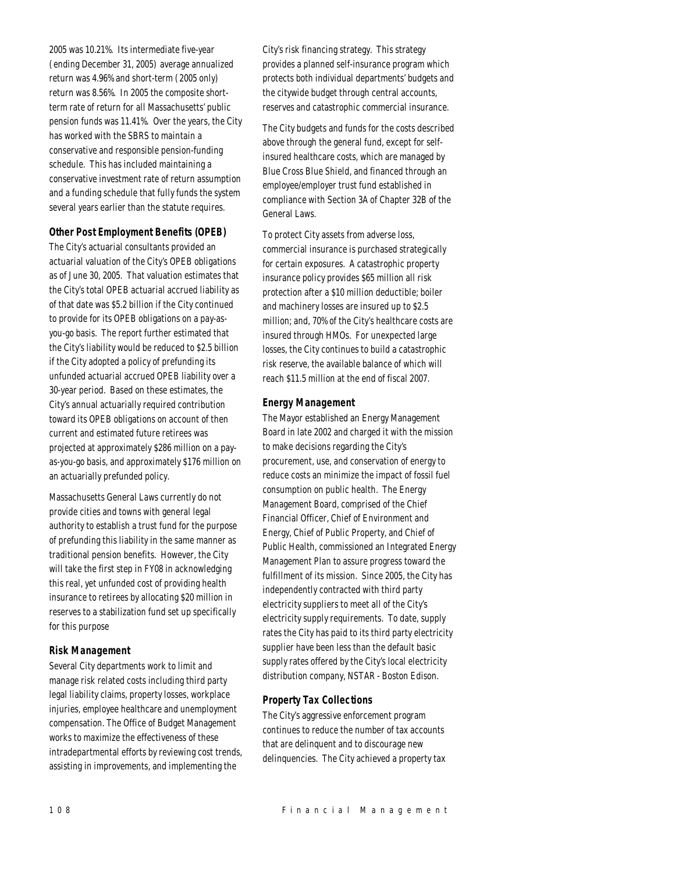2005 was 10.21%. Its intermediate five-year (ending December 31, 2005) average annualized return was 4.96% and short-term (2005 only) return was 8.56%. In 2005 the composite shortterm rate of return for all Massachusetts' public pension funds was 11.41%. Over the years, the City has worked with the SBRS to maintain a conservative and responsible pension-funding schedule. This has included maintaining a conservative investment rate of return assumption and a funding schedule that fully funds the system several years earlier than the statute requires.

# *Other Post Employment Benefits (OPEB)*

The City's actuarial consultants provided an actuarial valuation of the City's OPEB obligations as of June 30, 2005. That valuation estimates that the City's total OPEB actuarial accrued liability as of that date was \$5.2 billion if the City continued to provide for its OPEB obligations on a pay-asyou-go basis. The report further estimated that the City's liability would be reduced to \$2.5 billion if the City adopted a policy of prefunding its unfunded actuarial accrued OPEB liability over a 30-year period. Based on these estimates, the City's annual actuarially required contribution toward its OPEB obligations on account of then current and estimated future retirees was projected at approximately \$286 million on a payas-you-go basis, and approximately \$176 million on an actuarially prefunded policy.

Massachusetts General Laws currently do not provide cities and towns with general legal authority to establish a trust fund for the purpose of prefunding this liability in the same manner as traditional pension benefits. However, the City will take the first step in FY08 in acknowledging this real, yet unfunded cost of providing health insurance to retirees by allocating \$20 million in reserves to a stabilization fund set up specifically for this purpose

#### *Risk Management*

Several City departments work to limit and manage risk related costs including third party legal liability claims, property losses, workplace injuries, employee healthcare and unemployment compensation. The Office of Budget Management works to maximize the effectiveness of these intradepartmental efforts by reviewing cost trends, assisting in improvements, and implementing the

City's risk financing strategy. This strategy provides a planned self-insurance program which protects both individual departments' budgets and the citywide budget through central accounts, reserves and catastrophic commercial insurance.

The City budgets and funds for the costs described above through the general fund, except for selfinsured healthcare costs, which are managed by Blue Cross Blue Shield, and financed through an employee/employer trust fund established in compliance with Section 3A of Chapter 32B of the General Laws.

To protect City assets from adverse loss, commercial insurance is purchased strategically for certain exposures. A catastrophic property insurance policy provides \$65 million all risk protection after a \$10 million deductible; boiler and machinery losses are insured up to \$2.5 million; and, 70% of the City's healthcare costs are insured through HMOs. For unexpected large losses, the City continues to build a catastrophic risk reserve, the available balance of which will reach \$11.5 million at the end of fiscal 2007.

#### *Energy Management*

The Mayor established an Energy Management Board in late 2002 and charged it with the mission to make decisions regarding the City's procurement, use, and conservation of energy to reduce costs an minimize the impact of fossil fuel consumption on public health. The Energy Management Board, comprised of the Chief Financial Officer, Chief of Environment and Energy, Chief of Public Property, and Chief of Public Health, commissioned an Integrated Energy Management Plan to assure progress toward the fulfillment of its mission. Since 2005, the City has independently contracted with third party electricity suppliers to meet all of the City's electricity supply requirements. To date, supply rates the City has paid to its third party electricity supplier have been less than the default basic supply rates offered by the City's local electricity distribution company, NSTAR - Boston Edison.

#### *Property Tax Collections*

The City's aggressive enforcement program continues to reduce the number of tax accounts that are delinquent and to discourage new delinquencies. The City achieved a property tax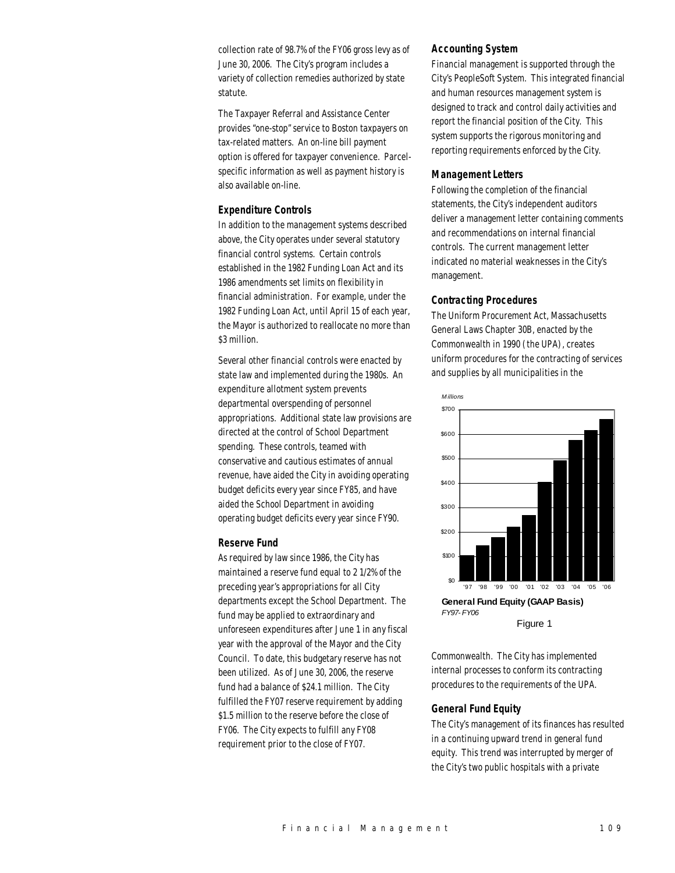collection rate of 98.7% of the FY06 gross levy as of June 30, 2006. The City's program includes a variety of collection remedies authorized by state statute.

The Taxpayer Referral and Assistance Center provides "one-stop" service to Boston taxpayers on tax-related matters. An on-line bill payment option is offered for taxpayer convenience. Parcelspecific information as well as payment history is also available on-line.

#### *Expenditure Controls*

In addition to the management systems described above, the City operates under several statutory financial control systems. Certain controls established in the 1982 Funding Loan Act and its 1986 amendments set limits on flexibility in financial administration. For example, under the 1982 Funding Loan Act, until April 15 of each year, the Mayor is authorized to reallocate no more than \$3 million.

Several other financial controls were enacted by state law and implemented during the 1980s. An expenditure allotment system prevents departmental overspending of personnel appropriations. Additional state law provisions are directed at the control of School Department spending. These controls, teamed with conservative and cautious estimates of annual revenue, have aided the City in avoiding operating budget deficits every year since FY85, and have aided the School Department in avoiding operating budget deficits every year since FY90.

## *Reserve Fund*

As required by law since 1986, the City has maintained a reserve fund equal to 2 1/2% of the preceding year's appropriations for all City departments except the School Department. The fund may be applied to extraordinary and unforeseen expenditures after June 1 in any fiscal year with the approval of the Mayor and the City Council. To date, this budgetary reserve has not been utilized. As of June 30, 2006, the reserve fund had a balance of \$24.1 million. The City fulfilled the FY07 reserve requirement by adding \$1.5 million to the reserve before the close of FY06. The City expects to fulfill any FY08 requirement prior to the close of FY07.

#### *Accounting System*

Financial management is supported through the City's PeopleSoft System. This integrated financial and human resources management system is designed to track and control daily activities and report the financial position of the City. This system supports the rigorous monitoring and reporting requirements enforced by the City.

#### *Management Letters*

Following the completion of the financial statements, the City's independent auditors deliver a management letter containing comments and recommendations on internal financial controls. The current management letter indicated no material weaknesses in the City's management.

#### *Contracting Procedures*

The Uniform Procurement Act, Massachusetts General Laws Chapter 30B, enacted by the Commonwealth in 1990 (the UPA), creates uniform procedures for the contracting of services and supplies by all municipalities in the



Commonwealth. The City has implemented internal processes to conform its contracting procedures to the requirements of the UPA.

# *General Fund Equity*

The City's management of its finances has resulted in a continuing upward trend in general fund equity. This trend was interrupted by merger of the City's two public hospitals with a private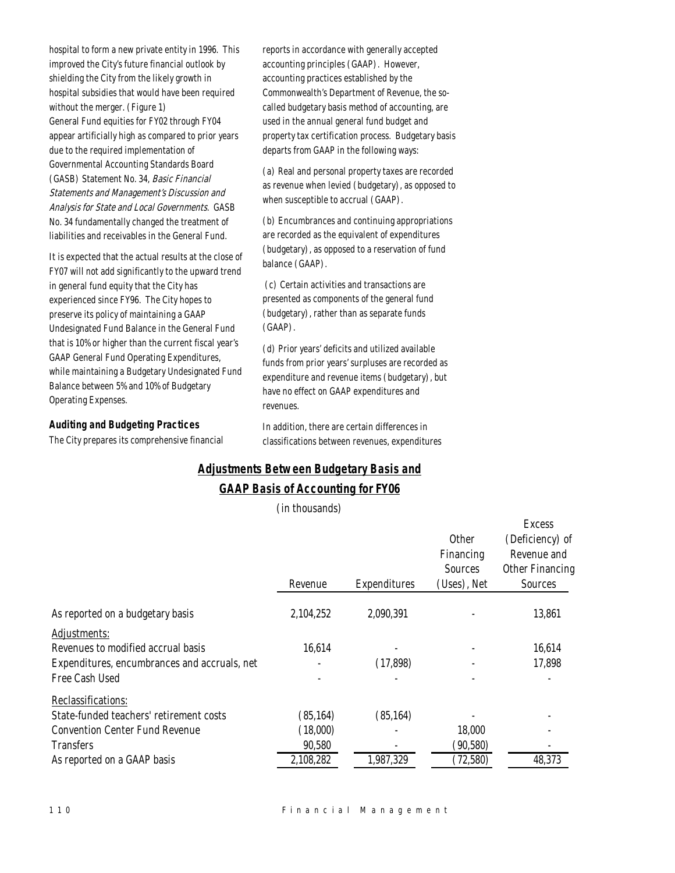hospital to form a new private entity in 1996. This improved the City's future financial outlook by shielding the City from the likely growth in hospital subsidies that would have been required without the merger. (Figure 1) General Fund equities for FY02 through FY04 appear artificially high as compared to prior years due to the required implementation of Governmental Accounting Standards Board (GASB) Statement No. 34, Basic Financial Statements and Management's Discussion and Analysis for State and Local Governments. GASB No. 34 fundamentally changed the treatment of liabilities and receivables in the General Fund.

It is expected that the actual results at the close of FY07 will not add significantly to the upward trend in general fund equity that the City has experienced since FY96. The City hopes to preserve its policy of maintaining a GAAP Undesignated Fund Balance in the General Fund that is 10% or higher than the current fiscal year's GAAP General Fund Operating Expenditures, while maintaining a Budgetary Undesignated Fund Balance between 5% and 10% of Budgetary Operating Expenses.

## *Auditing and Budgeting Practices*

The City prepares its comprehensive financial

reports in accordance with generally accepted accounting principles (GAAP). However, accounting practices established by the Commonwealth's Department of Revenue, the socalled budgetary basis method of accounting, are used in the annual general fund budget and property tax certification process. Budgetary basis departs from GAAP in the following ways:

(a) Real and personal property taxes are recorded as revenue when levied (budgetary), as opposed to when susceptible to accrual (GAAP).

(b) Encumbrances and continuing appropriations are recorded as the equivalent of expenditures (budgetary), as opposed to a reservation of fund balance (GAAP).

 (c) Certain activities and transactions are presented as components of the general fund (budgetary), rather than as separate funds (GAAP).

(d) Prior years' deficits and utilized available funds from prior years' surpluses are recorded as expenditure and revenue items (budgetary), but have no effect on GAAP expenditures and revenues.

In addition, there are certain differences in classifications between revenues, expenditures

 $E_{xoora}$ 

# *Adjustments Between Budgetary Basis and GAAP Basis of Accounting for FY06*

(in thousands)

|                                              | Revenue   | Expenditures | Other<br>Financing<br><b>Sources</b><br>(Uses), Net | <b>L'AUGOS</b><br>(Deficiency) of<br>Revenue and<br>Other Financing<br>Sources |
|----------------------------------------------|-----------|--------------|-----------------------------------------------------|--------------------------------------------------------------------------------|
| As reported on a budgetary basis             | 2,104,252 | 2,090,391    |                                                     | 13,861                                                                         |
| Adjustments:                                 |           |              |                                                     |                                                                                |
| Revenues to modified accrual basis           | 16,614    |              |                                                     | 16,614                                                                         |
| Expenditures, encumbrances and accruals, net |           | (17,898)     |                                                     | 17,898                                                                         |
| Free Cash Used                               |           |              |                                                     |                                                                                |
| Reclassifications:                           |           |              |                                                     |                                                                                |
| State-funded teachers' retirement costs      | (85, 164) | (85, 164)    |                                                     |                                                                                |
| <b>Convention Center Fund Revenue</b>        | (18,000)  |              | 18,000                                              |                                                                                |
| <b>Transfers</b>                             | 90,580    |              | (90, 580)                                           |                                                                                |
| As reported on a GAAP basis                  | 2,108,282 | 1,987,329    | (72, 580)                                           | 48,373                                                                         |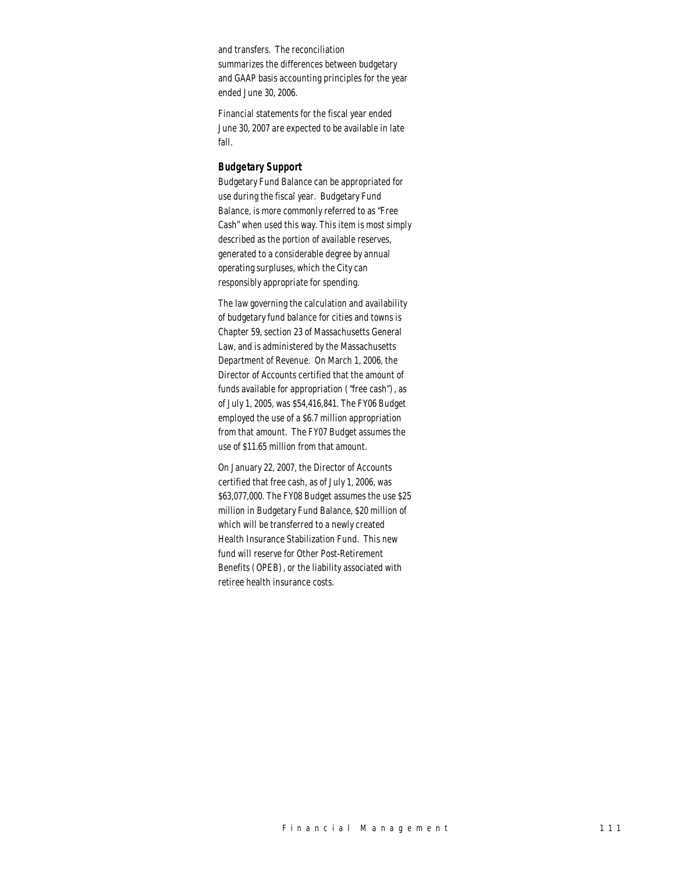summarizes the differences between budgetary and GAAP basis accounting principles for the year and transfers. The reconciliation ended June 30, 2006.

Financial statements for the fiscal year ended fall. June 30, 2007 are expected to be available in late

#### *Budgetary Support*

Budgetary Fund Balance can be appropriated for use during the fiscal year. Budgetary Fund Balance, is more commonly referred to as "Free Cash" when used this way. This item is most simply described as the portion of available reserves, generated to a considerable degree by annual operating surpluses, which the City can responsibly appropriate for spending.

The law governing the calculation and availability of budgetary fund balance for cities and towns is Chapter 59, section 23 of Massachusetts General Law, and is administered by the Massachusetts Department of Revenue. On March 1, 2006, the Director of Accounts certified that the amount of funds available for appropriation ("free cash"), as of July 1, 2005, was \$54,416,841. The FY06 Budget employed the use of a \$6.7 million appropriation from that amount. The FY07 Budget assumes the use of \$11.65 million from that amount.

On January 22, 2007, the Director of Accounts certified that free cash, as of July 1, 2006, was \$63,077,000. The FY08 Budget assumes the use \$25 million in Budgetary Fund Balance, \$20 million of which will be transferred to a newly created Health Insurance Stabilization Fund. This new fund will reserve for Other Post-Retirement Benefits (OPEB), or the liability associated with retiree health insurance costs.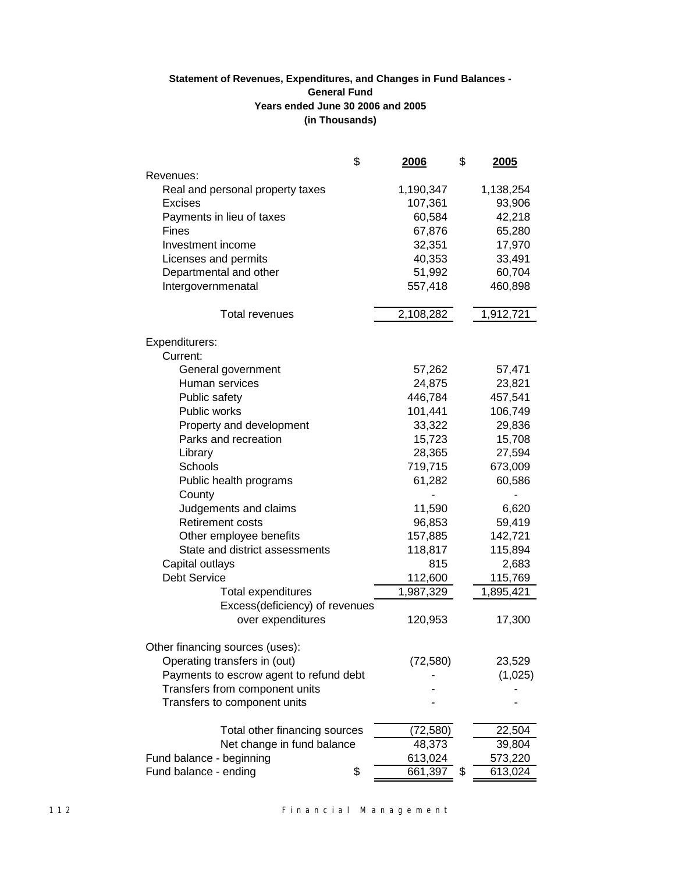# **(in Thousands) Statement of Revenues, Expenditures, and Changes in Fund Balances - General Fund Years ended June 30 2006 and 2005**

|                                         | \$<br><u> 2006 </u> | \$<br><u>2005</u> |
|-----------------------------------------|---------------------|-------------------|
| Revenues:                               |                     |                   |
| Real and personal property taxes        | 1,190,347           | 1,138,254         |
| <b>Excises</b>                          | 107,361             | 93,906            |
| Payments in lieu of taxes               | 60,584              | 42,218            |
| Fines                                   | 67,876              | 65,280            |
| Investment income                       | 32,351              | 17,970            |
| Licenses and permits                    | 40,353              | 33,491            |
| Departmental and other                  | 51,992              | 60,704            |
| Intergovernmenatal                      | 557,418             | 460,898           |
|                                         |                     |                   |
| Total revenues                          | 2,108,282           | 1,912,721         |
| Expenditurers:                          |                     |                   |
| Current:                                |                     |                   |
| General government                      | 57,262              | 57,471            |
| Human services                          | 24,875              | 23,821            |
| Public safety                           | 446,784             | 457,541           |
| Public works                            | 101,441             | 106,749           |
| Property and development                | 33,322              | 29,836            |
| Parks and recreation                    | 15,723              | 15,708            |
| Library                                 | 28,365              | 27,594            |
| Schools                                 | 719,715             | 673,009           |
| Public health programs                  | 61,282              | 60,586            |
| County                                  |                     |                   |
| Judgements and claims                   | 11,590              | 6,620             |
| <b>Retirement costs</b>                 | 96,853              | 59,419            |
| Other employee benefits                 | 157,885             | 142,721           |
| State and district assessments          | 118,817             | 115,894           |
| Capital outlays                         | 815                 | 2,683             |
| <b>Debt Service</b>                     | 112,600             | 115,769           |
| <b>Total expenditures</b>               | 1,987,329           | 1,895,421         |
| Excess(deficiency) of revenues          |                     |                   |
| over expenditures                       | 120,953             | 17,300            |
| Other financing sources (uses):         |                     |                   |
| Operating transfers in (out)            | (72, 580)           | 23,529            |
| Payments to escrow agent to refund debt |                     | (1,025)           |
| Transfers from component units          |                     |                   |
| Transfers to component units            |                     |                   |
| Total other financing sources           | (72, 580)           | 22,504            |
| Net change in fund balance              | 48,373              | 39,804            |
| Fund balance - beginning                | 613,024             | 573,220           |
| Fund balance - ending                   | \$<br>661,397       | \$<br>613,024     |